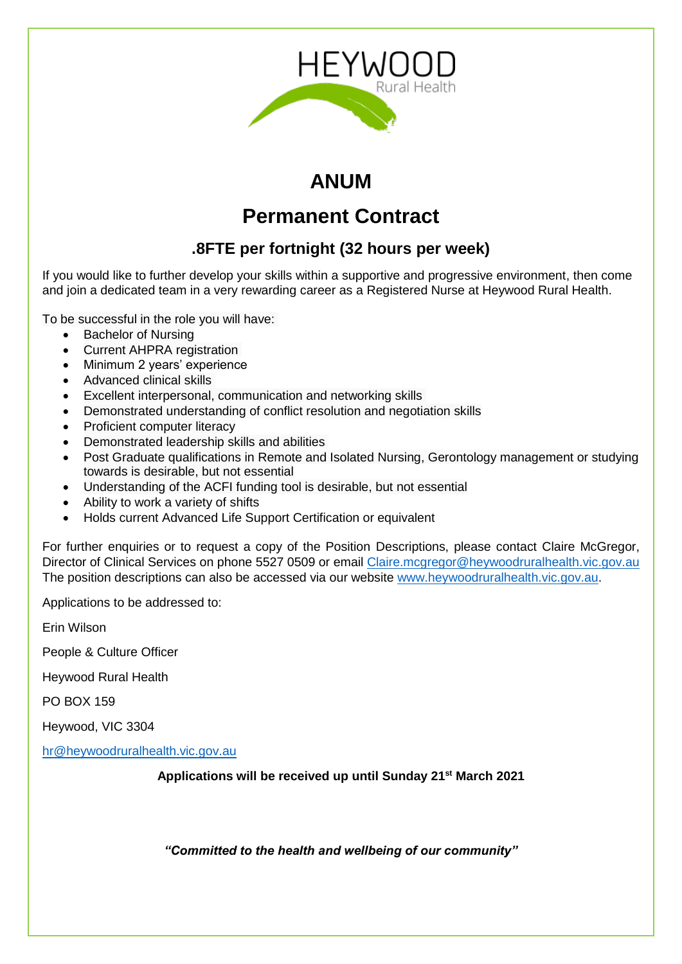

# **ANUM**

# **Permanent Contract**

## **.8FTE per fortnight (32 hours per week)**

If you would like to further develop your skills within a supportive and progressive environment, then come and join a dedicated team in a very rewarding career as a Registered Nurse at Heywood Rural Health.

To be successful in the role you will have:

- Bachelor of Nursing
- Current AHPRA registration
- Minimum 2 years' experience
- Advanced clinical skills
- Excellent interpersonal, communication and networking skills
- Demonstrated understanding of conflict resolution and negotiation skills
- Proficient computer literacy
- Demonstrated leadership skills and abilities
- Post Graduate qualifications in Remote and Isolated Nursing, Gerontology management or studying towards is desirable, but not essential
- Understanding of the ACFI funding tool is desirable, but not essential
- Ability to work a variety of shifts
- Holds current Advanced Life Support Certification or equivalent

For further enquiries or to request a copy of the Position Descriptions, please contact Claire McGregor, Director of Clinical Services on phone 5527 0509 or email [Claire.mcgregor@heywoodruralhealth.vic.gov.au](mailto:Claire.mcgregor@heywoodruralhealth.vic.gov.au) The position descriptions can also be accessed via our website [www.heywoodruralhealth.vic.gov.au.](http://www.heywoodruralhealth.vic.gov.au/)

Applications to be addressed to:

Erin Wilson

People & Culture Officer

Heywood Rural Health

PO BOX 159

Heywood, VIC 3304

[hr@heywoodruralhealth.vic.gov.au](mailto:hr@heywoodruralhealth.vic.gov.au)

**Applications will be received up until Sunday 21st March 2021**

*"Committed to the health and wellbeing of our community"*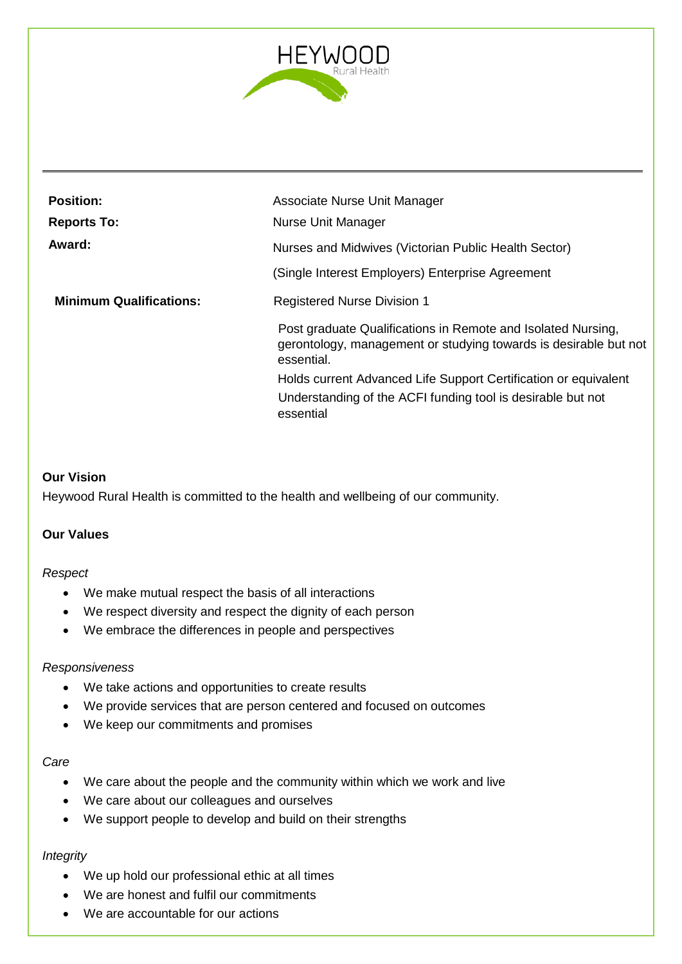

| <b>Position:</b><br><b>Reports To:</b> | Associate Nurse Unit Manager<br>Nurse Unit Manager                                                                                             |  |
|----------------------------------------|------------------------------------------------------------------------------------------------------------------------------------------------|--|
| Award:                                 | Nurses and Midwives (Victorian Public Health Sector)                                                                                           |  |
|                                        | (Single Interest Employers) Enterprise Agreement                                                                                               |  |
| <b>Minimum Qualifications:</b>         | <b>Registered Nurse Division 1</b>                                                                                                             |  |
|                                        | Post graduate Qualifications in Remote and Isolated Nursing,<br>gerontology, management or studying towards is desirable but not<br>essential. |  |
|                                        | Holds current Advanced Life Support Certification or equivalent                                                                                |  |
|                                        | Understanding of the ACFI funding tool is desirable but not<br>essential                                                                       |  |

## **Our Vision**

Heywood Rural Health is committed to the health and wellbeing of our community.

## **Our Values**

#### *Respect*

- We make mutual respect the basis of all interactions
- We respect diversity and respect the dignity of each person
- We embrace the differences in people and perspectives

#### *Responsiveness*

- We take actions and opportunities to create results
- We provide services that are person centered and focused on outcomes
- We keep our commitments and promises

#### *Care*

- We care about the people and the community within which we work and live
- We care about our colleagues and ourselves
- We support people to develop and build on their strengths

## *Integrity*

- We up hold our professional ethic at all times
- We are honest and fulfil our commitments
- We are accountable for our actions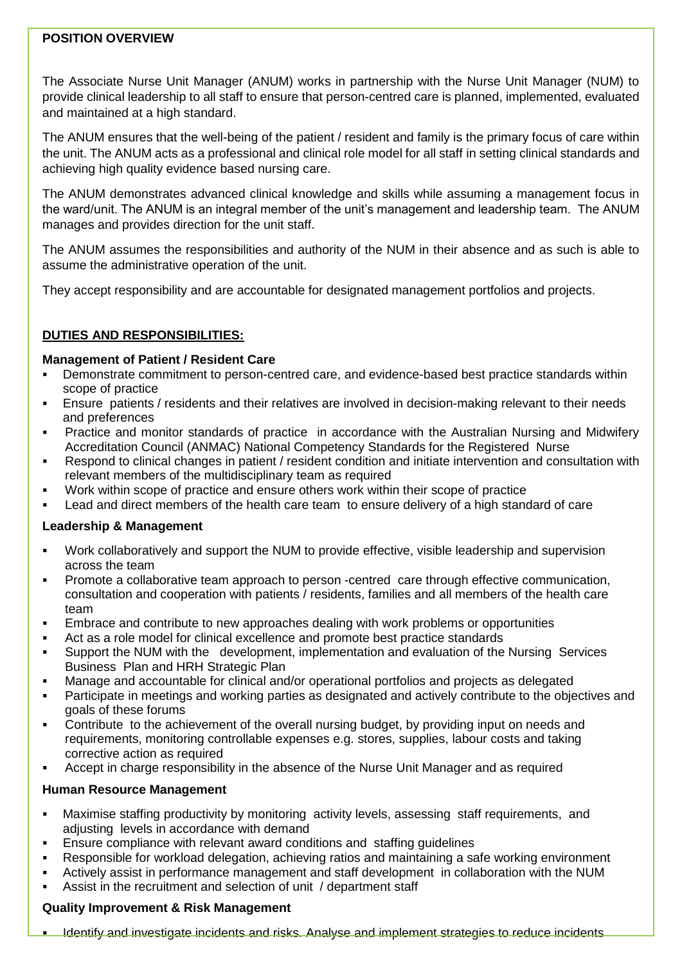## **POSITION OVERVIEW**

The Associate Nurse Unit Manager (ANUM) works in partnership with the Nurse Unit Manager (NUM) to provide clinical leadership to all staff to ensure that person-centred care is planned, implemented, evaluated and maintained at a high standard.

The ANUM ensures that the well-being of the patient / resident and family is the primary focus of care within the unit. The ANUM acts as a professional and clinical role model for all staff in setting clinical standards and achieving high quality evidence based nursing care.

The ANUM demonstrates advanced clinical knowledge and skills while assuming a management focus in the ward/unit. The ANUM is an integral member of the unit's management and leadership team. The ANUM manages and provides direction for the unit staff.

The ANUM assumes the responsibilities and authority of the NUM in their absence and as such is able to assume the administrative operation of the unit.

They accept responsibility and are accountable for designated management portfolios and projects.

## **DUTIES AND RESPONSIBILITIES:**

## **Management of Patient / Resident Care**

- Demonstrate commitment to person-centred care, and evidence-based best practice standards within scope of practice
- Ensure patients / residents and their relatives are involved in decision-making relevant to their needs and preferences
- Practice and monitor standards of practice in accordance with the Australian Nursing and Midwifery Accreditation Council (ANMAC) National Competency Standards for the Registered Nurse
- Respond to clinical changes in patient / resident condition and initiate intervention and consultation with relevant members of the multidisciplinary team as required
- Work within scope of practice and ensure others work within their scope of practice
- Lead and direct members of the health care team to ensure delivery of a high standard of care

## **Leadership & Management**

- Work collaboratively and support the NUM to provide effective, visible leadership and supervision across the team
- Promote a collaborative team approach to person -centred care through effective communication, consultation and cooperation with patients / residents, families and all members of the health care team
- Embrace and contribute to new approaches dealing with work problems or opportunities
- Act as a role model for clinical excellence and promote best practice standards
- Support the NUM with the development, implementation and evaluation of the Nursing Services Business Plan and HRH Strategic Plan
- Manage and accountable for clinical and/or operational portfolios and projects as delegated
- Participate in meetings and working parties as designated and actively contribute to the objectives and goals of these forums
- Contribute to the achievement of the overall nursing budget, by providing input on needs and requirements, monitoring controllable expenses e.g. stores, supplies, labour costs and taking corrective action as required
- Accept in charge responsibility in the absence of the Nurse Unit Manager and as required

## **Human Resource Management**

- Maximise staffing productivity by monitoring activity levels, assessing staff requirements, and adjusting levels in accordance with demand
- Ensure compliance with relevant award conditions and staffing guidelines
- Responsible for workload delegation, achieving ratios and maintaining a safe working environment
- Actively assist in performance management and staff development in collaboration with the NUM
- Assist in the recruitment and selection of unit / department staff

## **Quality Improvement & Risk Management**

Identify and investigate incidents and risks. Analyse and implement strategies to reduce incidents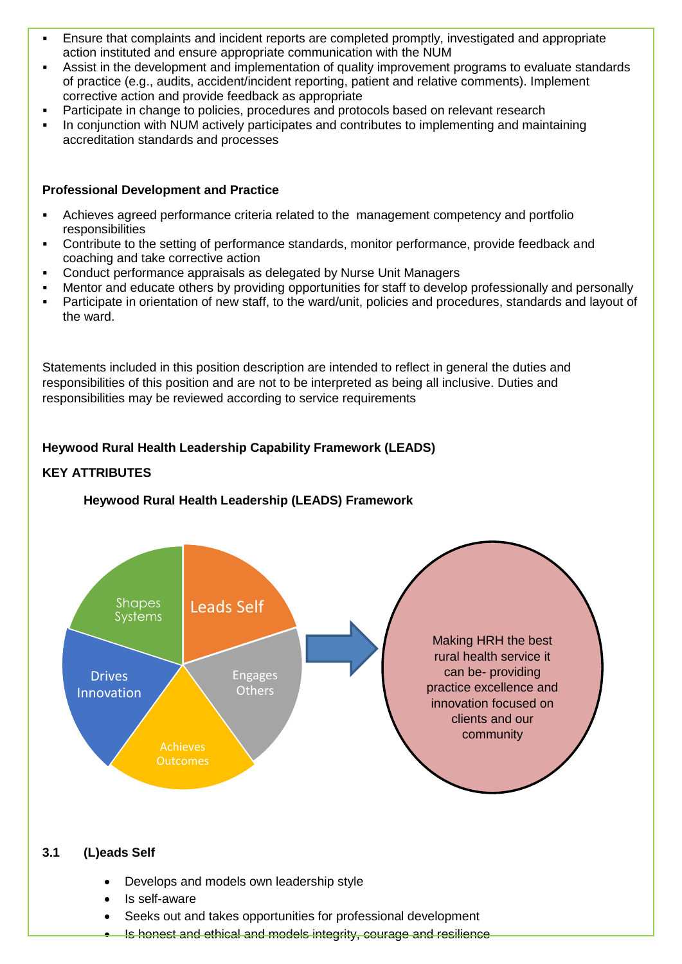- Ensure that complaints and incident reports are completed promptly, investigated and appropriate action instituted and ensure appropriate communication with the NUM
- Assist in the development and implementation of quality improvement programs to evaluate standards of practice (e.g., audits, accident/incident reporting, patient and relative comments). Implement corrective action and provide feedback as appropriate
- Participate in change to policies, procedures and protocols based on relevant research
- In conjunction with NUM actively participates and contributes to implementing and maintaining accreditation standards and processes

#### **Professional Development and Practice**

- Achieves agreed performance criteria related to the management competency and portfolio responsibilities
- Contribute to the setting of performance standards, monitor performance, provide feedback and coaching and take corrective action
- Conduct performance appraisals as delegated by Nurse Unit Managers
- Mentor and educate others by providing opportunities for staff to develop professionally and personally
- Participate in orientation of new staff, to the ward/unit, policies and procedures, standards and layout of the ward.

Statements included in this position description are intended to reflect in general the duties and responsibilities of this position and are not to be interpreted as being all inclusive. Duties and responsibilities may be reviewed according to service requirements

## **Heywood Rural Health Leadership Capability Framework (LEADS)**

## **KEY ATTRIBUTES**

#### **Heywood Rural Health Leadership (LEADS) Framework**



#### **3.1 (L)eads Self**

- Develops and models own leadership style
- Is self-aware
- Seeks out and takes opportunities for professional development
- Is honest and ethical and models integrity, courage and resilience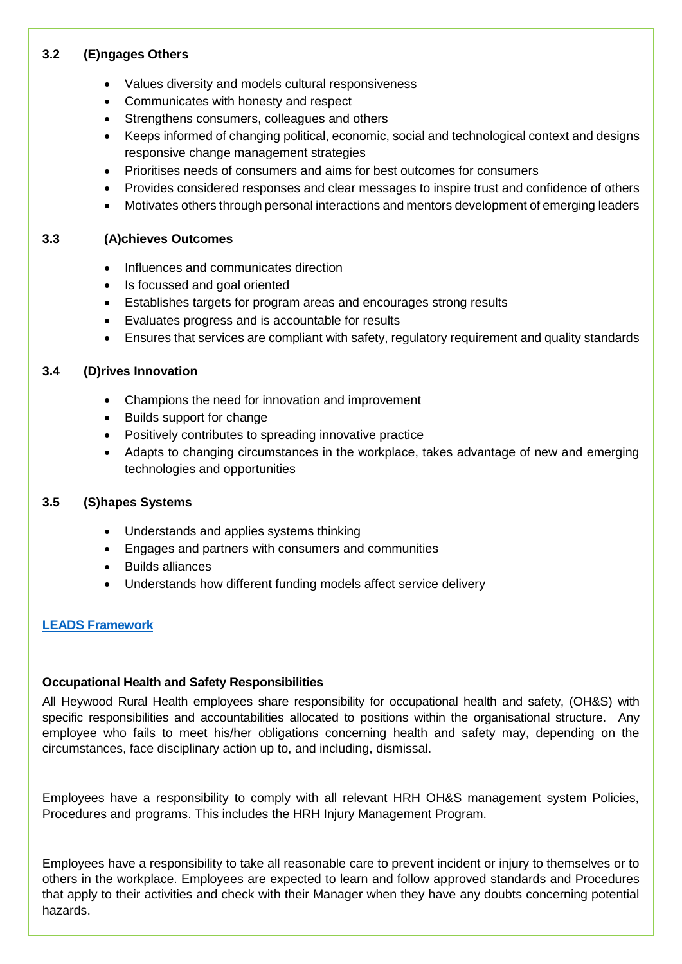## **3.2 (E)ngages Others**

- Values diversity and models cultural responsiveness
- Communicates with honesty and respect
- Strengthens consumers, colleagues and others
- Keeps informed of changing political, economic, social and technological context and designs responsive change management strategies
- Prioritises needs of consumers and aims for best outcomes for consumers
- Provides considered responses and clear messages to inspire trust and confidence of others
- Motivates others through personal interactions and mentors development of emerging leaders

#### **3.3 (A)chieves Outcomes**

- Influences and communicates direction
- Is focussed and goal oriented
- Establishes targets for program areas and encourages strong results
- Evaluates progress and is accountable for results
- Ensures that services are compliant with safety, regulatory requirement and quality standards

## **3.4 (D)rives Innovation**

- Champions the need for innovation and improvement
- Builds support for change
- Positively contributes to spreading innovative practice
- Adapts to changing circumstances in the workplace, takes advantage of new and emerging technologies and opportunities

## **3.5 (S)hapes Systems**

- Understands and applies systems thinking
- Engages and partners with consumers and communities
- Builds alliances
- Understands how different funding models affect service delivery

## **[LEADS Framework](file://///swisilon-cifs.swarh.net/hrh$/Human%20Resources/Capability%20framework/HRH%20Leadership%20Capability%20Framework%202017.docx)**

#### **Occupational Health and Safety Responsibilities**

All Heywood Rural Health employees share responsibility for occupational health and safety, (OH&S) with specific responsibilities and accountabilities allocated to positions within the organisational structure. Any employee who fails to meet his/her obligations concerning health and safety may, depending on the circumstances, face disciplinary action up to, and including, dismissal.

Employees have a responsibility to comply with all relevant HRH OH&S management system Policies, Procedures and programs. This includes the HRH Injury Management Program.

Employees have a responsibility to take all reasonable care to prevent incident or injury to themselves or to others in the workplace. Employees are expected to learn and follow approved standards and Procedures that apply to their activities and check with their Manager when they have any doubts concerning potential hazards.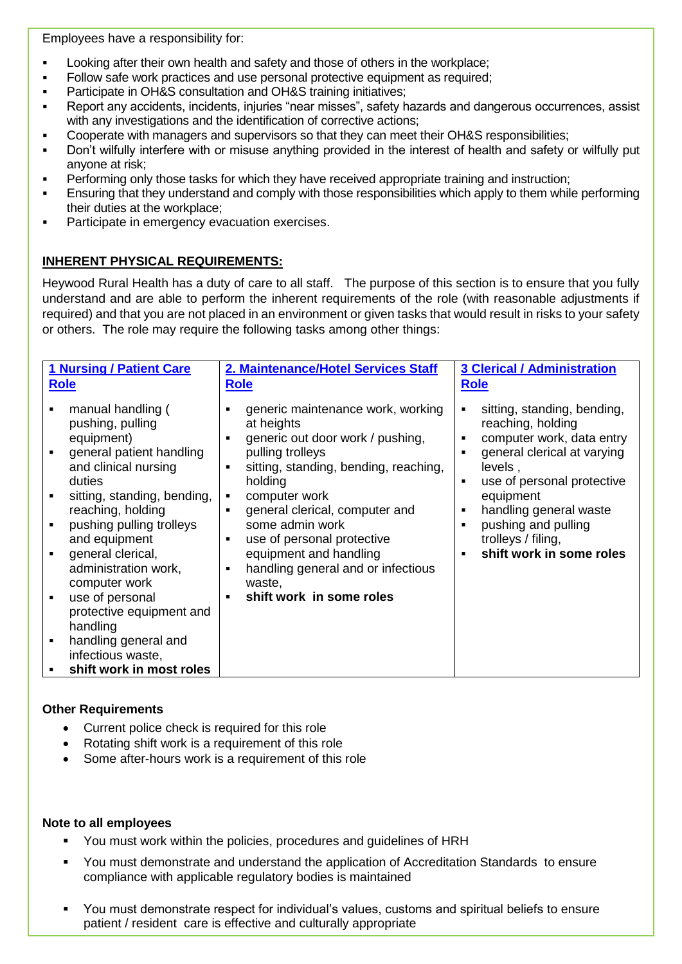Employees have a responsibility for:

- Looking after their own health and safety and those of others in the workplace;
- Follow safe work practices and use personal protective equipment as required;
- **Participate in OH&S consultation and OH&S training initiatives;**
- Report any accidents, incidents, injuries "near misses", safety hazards and dangerous occurrences, assist with any investigations and the identification of corrective actions;
- Cooperate with managers and supervisors so that they can meet their OH&S responsibilities;
- Don't wilfully interfere with or misuse anything provided in the interest of health and safety or wilfully put anyone at risk;
- **Performing only those tasks for which they have received appropriate training and instruction;**
- Ensuring that they understand and comply with those responsibilities which apply to them while performing their duties at the workplace;
- Participate in emergency evacuation exercises.

## **INHERENT PHYSICAL REQUIREMENTS:**

Heywood Rural Health has a duty of care to all staff. The purpose of this section is to ensure that you fully understand and are able to perform the inherent requirements of the role (with reasonable adjustments if required) and that you are not placed in an environment or given tasks that would result in risks to your safety or others. The role may require the following tasks among other things:

| <b>1 Nursing / Patient Care</b>                                                                                                                                                                                                                                                                                                                                                                                      | 2. Maintenance/Hotel Services Staff                                                                                                                                                                                                                                                                                                                                                                                           | <b>3 Clerical / Administration</b>                                                                                                                                                                                                                                                           |
|----------------------------------------------------------------------------------------------------------------------------------------------------------------------------------------------------------------------------------------------------------------------------------------------------------------------------------------------------------------------------------------------------------------------|-------------------------------------------------------------------------------------------------------------------------------------------------------------------------------------------------------------------------------------------------------------------------------------------------------------------------------------------------------------------------------------------------------------------------------|----------------------------------------------------------------------------------------------------------------------------------------------------------------------------------------------------------------------------------------------------------------------------------------------|
| <b>Role</b>                                                                                                                                                                                                                                                                                                                                                                                                          | <b>Role</b>                                                                                                                                                                                                                                                                                                                                                                                                                   | <b>Role</b>                                                                                                                                                                                                                                                                                  |
| manual handling (<br>pushing, pulling<br>equipment)<br>general patient handling<br>and clinical nursing<br>duties<br>sitting, standing, bending,<br>reaching, holding<br>pushing pulling trolleys<br>and equipment<br>general clerical,<br>administration work,<br>computer work<br>use of personal<br>protective equipment and<br>handling<br>handling general and<br>infectious waste,<br>shift work in most roles | generic maintenance work, working<br>at heights<br>generic out door work / pushing,<br>٠<br>pulling trolleys<br>sitting, standing, bending, reaching,<br>$\blacksquare$<br>holding<br>computer work<br>٠<br>general clerical, computer and<br>$\blacksquare$<br>some admin work<br>use of personal protective<br>٠<br>equipment and handling<br>handling general and or infectious<br>٠<br>waste,<br>shift work in some roles | sitting, standing, bending,<br>٠<br>reaching, holding<br>computer work, data entry<br>general clerical at varying<br>levels,<br>use of personal protective<br>$\blacksquare$<br>equipment<br>handling general waste<br>pushing and pulling<br>trolleys / filing,<br>shift work in some roles |

#### **Other Requirements**

- Current police check is required for this role
- Rotating shift work is a requirement of this role
- Some after-hours work is a requirement of this role

#### **Note to all employees**

- You must work within the policies, procedures and guidelines of HRH
- You must demonstrate and understand the application of Accreditation Standards to ensure compliance with applicable regulatory bodies is maintained
- You must demonstrate respect for individual's values, customs and spiritual beliefs to ensure patient / resident care is effective and culturally appropriate